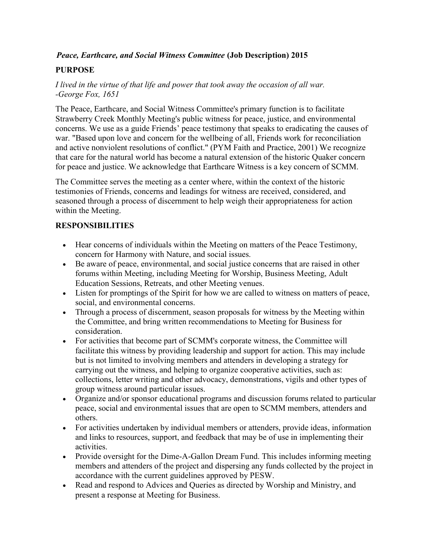## Peace, Earthcare, and Social Witness Committee (Job Description) 2015

# PURPOSE

I lived in the virtue of that life and power that took away the occasion of all war. -George Fox, 1651

The Peace, Earthcare, and Social Witness Committee's primary function is to facilitate Strawberry Creek Monthly Meeting's public witness for peace, justice, and environmental concerns. We use as a guide Friends' peace testimony that speaks to eradicating the causes of war. "Based upon love and concern for the wellbeing of all, Friends work for reconciliation and active nonviolent resolutions of conflict." (PYM Faith and Practice, 2001) We recognize that care for the natural world has become a natural extension of the historic Quaker concern for peace and justice. We acknowledge that Earthcare Witness is a key concern of SCMM.

The Committee serves the meeting as a center where, within the context of the historic testimonies of Friends, concerns and leadings for witness are received, considered, and seasoned through a process of discernment to help weigh their appropriateness for action within the Meeting.

## RESPONSIBILITIES

- Hear concerns of individuals within the Meeting on matters of the Peace Testimony, concern for Harmony with Nature, and social issues.
- Be aware of peace, environmental, and social justice concerns that are raised in other forums within Meeting, including Meeting for Worship, Business Meeting, Adult Education Sessions, Retreats, and other Meeting venues.
- Listen for promptings of the Spirit for how we are called to witness on matters of peace, social, and environmental concerns.
- Through a process of discernment, season proposals for witness by the Meeting within the Committee, and bring written recommendations to Meeting for Business for consideration.
- For activities that become part of SCMM's corporate witness, the Committee will facilitate this witness by providing leadership and support for action. This may include but is not limited to involving members and attenders in developing a strategy for carrying out the witness, and helping to organize cooperative activities, such as: collections, letter writing and other advocacy, demonstrations, vigils and other types of group witness around particular issues.
- Organize and/or sponsor educational programs and discussion forums related to particular peace, social and environmental issues that are open to SCMM members, attenders and others.
- For activities undertaken by individual members or attenders, provide ideas, information and links to resources, support, and feedback that may be of use in implementing their activities.
- Provide oversight for the Dime-A-Gallon Dream Fund. This includes informing meeting members and attenders of the project and dispersing any funds collected by the project in accordance with the current guidelines approved by PESW.
- Read and respond to Advices and Queries as directed by Worship and Ministry, and present a response at Meeting for Business.